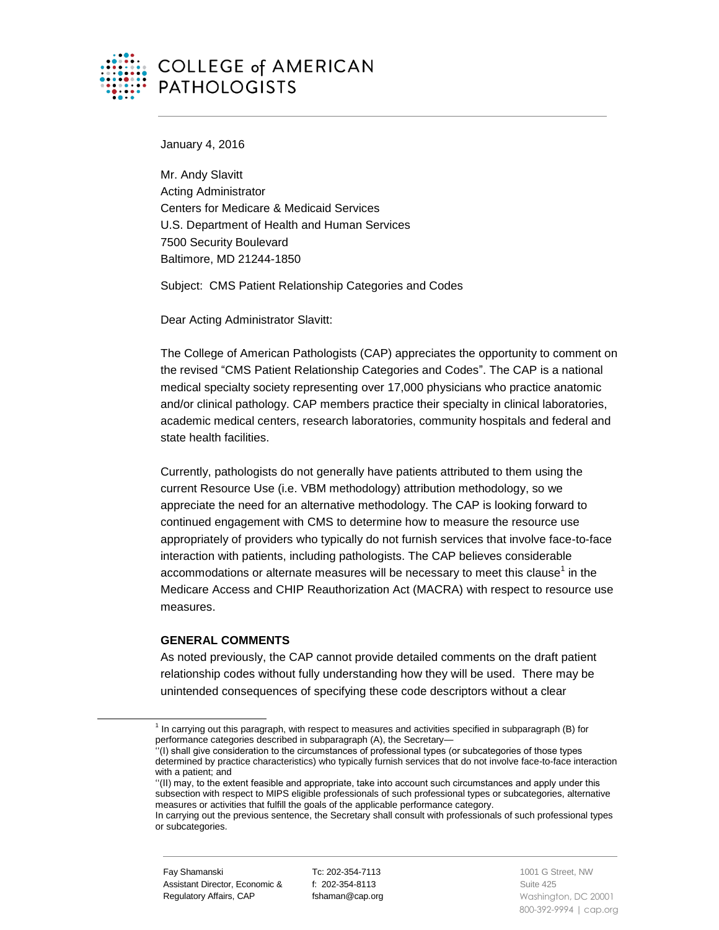

January 4, 2016

Mr. Andy Slavitt Acting Administrator Centers for Medicare & Medicaid Services U.S. Department of Health and Human Services 7500 Security Boulevard Baltimore, MD 21244-1850

Subject: CMS Patient Relationship Categories and Codes

Dear Acting Administrator Slavitt:

The College of American Pathologists (CAP) appreciates the opportunity to comment on the revised "CMS Patient Relationship Categories and Codes". The CAP is a national medical specialty society representing over 17,000 physicians who practice anatomic and/or clinical pathology. CAP members practice their specialty in clinical laboratories, academic medical centers, research laboratories, community hospitals and federal and state health facilities.

Currently, pathologists do not generally have patients attributed to them using the current Resource Use (i.e. VBM methodology) attribution methodology, so we appreciate the need for an alternative methodology. The CAP is looking forward to continued engagement with CMS to determine how to measure the resource use appropriately of providers who typically do not furnish services that involve face-to-face interaction with patients, including pathologists. The CAP believes considerable accommodations or alternate measures will be necessary to meet this clause<sup>1</sup> in the Medicare Access and CHIP Reauthorization Act (MACRA) with respect to resource use measures.

## **GENERAL COMMENTS**

 $\overline{a}$ 

As noted previously, the CAP cannot provide detailed comments on the draft patient relationship codes without fully understanding how they will be used. There may be unintended consequences of specifying these code descriptors without a clear

<sup>&</sup>lt;sup>1</sup> In carrying out this paragraph, with respect to measures and activities specified in subparagraph (B) for performance categories described in subparagraph (A), the Secretary—

<sup>&#</sup>x27;'(I) shall give consideration to the circumstances of professional types (or subcategories of those types determined by practice characteristics) who typically furnish services that do not involve face-to-face interaction with a patient; and

<sup>&#</sup>x27;'(II) may, to the extent feasible and appropriate, take into account such circumstances and apply under this subsection with respect to MIPS eligible professionals of such professional types or subcategories, alternative measures or activities that fulfill the goals of the applicable performance category.

In carrying out the previous sentence, the Secretary shall consult with professionals of such professional types or subcategories.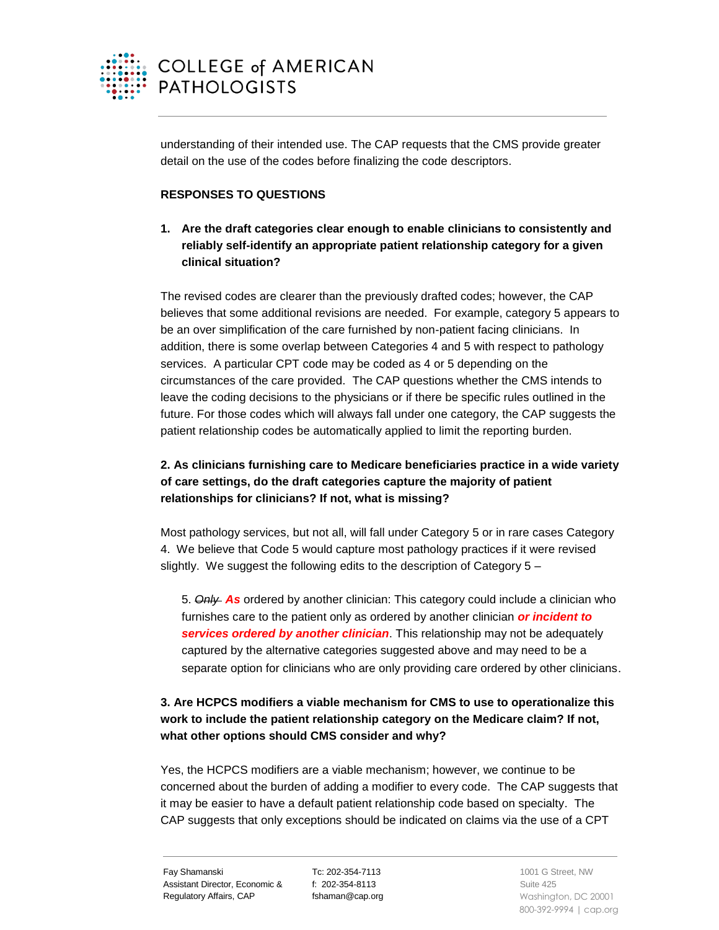

understanding of their intended use. The CAP requests that the CMS provide greater detail on the use of the codes before finalizing the code descriptors.

## **RESPONSES TO QUESTIONS**

**1. Are the draft categories clear enough to enable clinicians to consistently and reliably self-identify an appropriate patient relationship category for a given clinical situation?** 

The revised codes are clearer than the previously drafted codes; however, the CAP believes that some additional revisions are needed. For example, category 5 appears to be an over simplification of the care furnished by non-patient facing clinicians. In addition, there is some overlap between Categories 4 and 5 with respect to pathology services. A particular CPT code may be coded as 4 or 5 depending on the circumstances of the care provided. The CAP questions whether the CMS intends to leave the coding decisions to the physicians or if there be specific rules outlined in the future. For those codes which will always fall under one category, the CAP suggests the patient relationship codes be automatically applied to limit the reporting burden.

## **2. As clinicians furnishing care to Medicare beneficiaries practice in a wide variety of care settings, do the draft categories capture the majority of patient relationships for clinicians? If not, what is missing?**

Most pathology services, but not all, will fall under Category 5 or in rare cases Category 4.We believe that Code 5 would capture most pathology practices if it were revised slightly. We suggest the following edits to the description of Category 5 –

5. *Only As* ordered by another clinician: This category could include a clinician who furnishes care to the patient only as ordered by another clinician *or incident to services ordered by another clinician*. This relationship may not be adequately captured by the alternative categories suggested above and may need to be a separate option for clinicians who are only providing care ordered by other clinicians.

## **3. Are HCPCS modifiers a viable mechanism for CMS to use to operationalize this work to include the patient relationship category on the Medicare claim? If not, what other options should CMS consider and why?**

Yes, the HCPCS modifiers are a viable mechanism; however, we continue to be concerned about the burden of adding a modifier to every code.The CAP suggests that it may be easier to have a default patient relationship code based on specialty. The CAP suggests that only exceptions should be indicated on claims via the use of a CPT